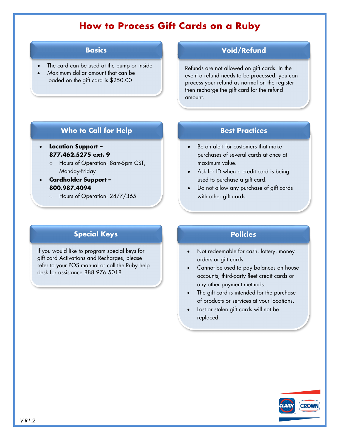# **How to Process Gift Cards on a Ruby**

#### **Basics**

- The card can be used at the pump or inside
- Maximum dollar amount that can be loaded on the gift card is \$250.00

### **Void/Refund**

Refunds are not allowed on gift cards. In the event a refund needs to be processed, you can process your refund as normal on the register then recharge the gift card for the refund amount.

### **Who to Call for Help**

- **Location Support – 877.462.5275 ext. 9**
	- o Hours of Operation: 8am-5pm CST, Monday-Friday
- **Cardholder Support – 800.987.4094**
	- o Hours of Operation: 24/7/365

### **Best Practices**

- Be on alert for customers that make purchases of several cards at once at maximum value.
- Ask for ID when a credit card is being used to purchase a gift card.
- Do not allow any purchase of gift cards with other gift cards.

## **Special Keys**

If you would like to program special keys for gift card Activations and Recharges, please refer to your POS manual or call the Ruby help desk for assistance 888.976.5018

### **Policies**

- Not redeemable for cash, lottery, money orders or gift cards.
- Cannot be used to pay balances on house accounts, third-party fleet credit cards or any other payment methods.
- The gift card is intended for the purchase of products or services at your locations.
- Lost or stolen gift cards will not be replaced.